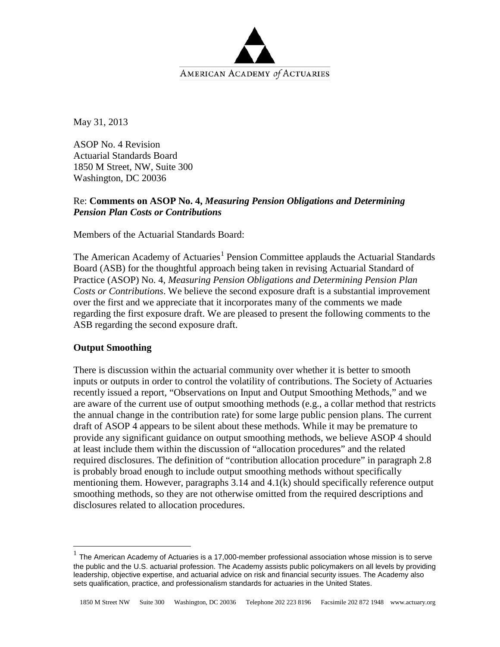

May 31, 2013

ASOP No. 4 Revision Actuarial Standards Board 1850 M Street, NW, Suite 300 Washington, DC 20036

# Re: **Comments on ASOP No. 4,** *Measuring Pension Obligations and Determining Pension Plan Costs or Contributions*

Members of the Actuarial Standards Board:

The American Academy of Actuaries<sup>[1](#page-0-0)</sup> Pension Committee applauds the Actuarial Standards Board (ASB) for the thoughtful approach being taken in revising Actuarial Standard of Practice (ASOP) No. 4, *Measuring Pension Obligations and Determining Pension Plan Costs or Contributions*. We believe the second exposure draft is a substantial improvement over the first and we appreciate that it incorporates many of the comments we made regarding the first exposure draft. We are pleased to present the following comments to the ASB regarding the second exposure draft.

## **Output Smoothing**

There is discussion within the actuarial community over whether it is better to smooth inputs or outputs in order to control the volatility of contributions. The Society of Actuaries recently issued a report, "Observations on Input and Output Smoothing Methods," and we are aware of the current use of output smoothing methods (e.g., a collar method that restricts the annual change in the contribution rate) for some large public pension plans. The current draft of ASOP 4 appears to be silent about these methods. While it may be premature to provide any significant guidance on output smoothing methods, we believe ASOP 4 should at least include them within the discussion of "allocation procedures" and the related required disclosures. The definition of "contribution allocation procedure" in paragraph 2.8 is probably broad enough to include output smoothing methods without specifically mentioning them. However, paragraphs 3.14 and 4.1(k) should specifically reference output smoothing methods, so they are not otherwise omitted from the required descriptions and disclosures related to allocation procedures.

<span id="page-0-0"></span>The American Academy of Actuaries is a 17,000-member professional association whose mission is to serve the public and the U.S. actuarial profession. The Academy assists public policymakers on all levels by providing leadership, objective expertise, and actuarial advice on risk and financial security issues. The Academy also sets qualification, practice, and professionalism standards for actuaries in the United States.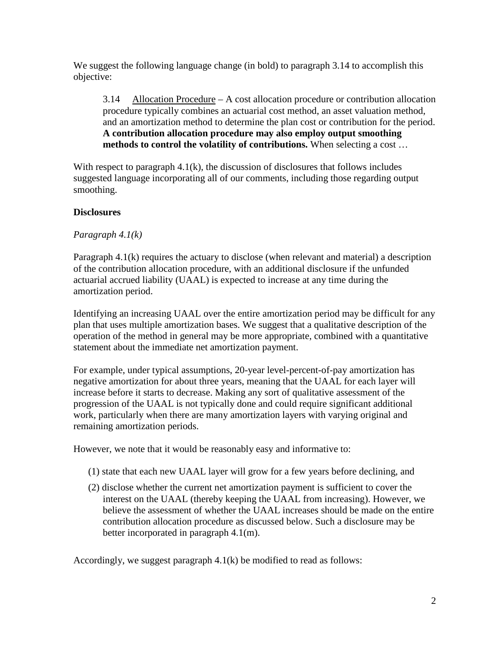We suggest the following language change (in bold) to paragraph 3.14 to accomplish this objective:

3.14 Allocation Procedure – A cost allocation procedure or contribution allocation procedure typically combines an actuarial cost method, an asset valuation method, and an amortization method to determine the plan cost or contribution for the period. **A contribution allocation procedure may also employ output smoothing methods to control the volatility of contributions.** When selecting a cost …

With respect to paragraph  $4.1(k)$ , the discussion of disclosures that follows includes suggested language incorporating all of our comments, including those regarding output smoothing.

### **Disclosures**

### *Paragraph 4.1(k)*

Paragraph 4.1(k) requires the actuary to disclose (when relevant and material) a description of the contribution allocation procedure, with an additional disclosure if the unfunded actuarial accrued liability (UAAL) is expected to increase at any time during the amortization period.

Identifying an increasing UAAL over the entire amortization period may be difficult for any plan that uses multiple amortization bases. We suggest that a qualitative description of the operation of the method in general may be more appropriate, combined with a quantitative statement about the immediate net amortization payment.

For example, under typical assumptions, 20-year level-percent-of-pay amortization has negative amortization for about three years, meaning that the UAAL for each layer will increase before it starts to decrease. Making any sort of qualitative assessment of the progression of the UAAL is not typically done and could require significant additional work, particularly when there are many amortization layers with varying original and remaining amortization periods.

However, we note that it would be reasonably easy and informative to:

- (1) state that each new UAAL layer will grow for a few years before declining, and
- (2) disclose whether the current net amortization payment is sufficient to cover the interest on the UAAL (thereby keeping the UAAL from increasing). However, we believe the assessment of whether the UAAL increases should be made on the entire contribution allocation procedure as discussed below. Such a disclosure may be better incorporated in paragraph 4.1(m).

Accordingly, we suggest paragraph 4.1(k) be modified to read as follows: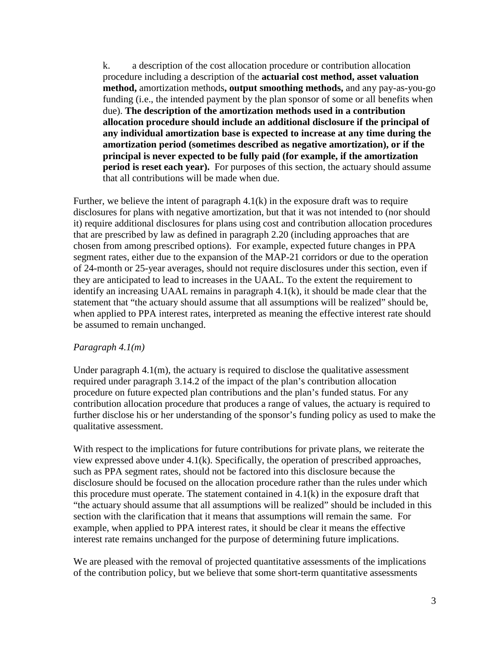k. a description of the cost allocation procedure or contribution allocation procedure including a description of the **actuarial cost method, asset valuation method,** amortization methods**, output smoothing methods,** and any pay-as-you-go funding (i.e., the intended payment by the plan sponsor of some or all benefits when due). **The description of the amortization methods used in a contribution allocation procedure should include an additional disclosure if the principal of any individual amortization base is expected to increase at any time during the amortization period (sometimes described as negative amortization), or if the principal is never expected to be fully paid (for example, if the amortization period is reset each year).** For purposes of this section, the actuary should assume that all contributions will be made when due.

Further, we believe the intent of paragraph  $4.1(k)$  in the exposure draft was to require disclosures for plans with negative amortization, but that it was not intended to (nor should it) require additional disclosures for plans using cost and contribution allocation procedures that are prescribed by law as defined in paragraph 2.20 (including approaches that are chosen from among prescribed options). For example, expected future changes in PPA segment rates, either due to the expansion of the MAP-21 corridors or due to the operation of 24-month or 25-year averages, should not require disclosures under this section, even if they are anticipated to lead to increases in the UAAL. To the extent the requirement to identify an increasing UAAL remains in paragraph 4.1(k), it should be made clear that the statement that "the actuary should assume that all assumptions will be realized" should be, when applied to PPA interest rates, interpreted as meaning the effective interest rate should be assumed to remain unchanged.

#### *Paragraph 4.1(m)*

Under paragraph  $4.1(m)$ , the actuary is required to disclose the qualitative assessment required under paragraph 3.14.2 of the impact of the plan's contribution allocation procedure on future expected plan contributions and the plan's funded status. For any contribution allocation procedure that produces a range of values, the actuary is required to further disclose his or her understanding of the sponsor's funding policy as used to make the qualitative assessment.

With respect to the implications for future contributions for private plans, we reiterate the view expressed above under 4.1(k). Specifically, the operation of prescribed approaches, such as PPA segment rates, should not be factored into this disclosure because the disclosure should be focused on the allocation procedure rather than the rules under which this procedure must operate. The statement contained in 4.1(k) in the exposure draft that "the actuary should assume that all assumptions will be realized" should be included in this section with the clarification that it means that assumptions will remain the same. For example, when applied to PPA interest rates, it should be clear it means the effective interest rate remains unchanged for the purpose of determining future implications.

We are pleased with the removal of projected quantitative assessments of the implications of the contribution policy, but we believe that some short-term quantitative assessments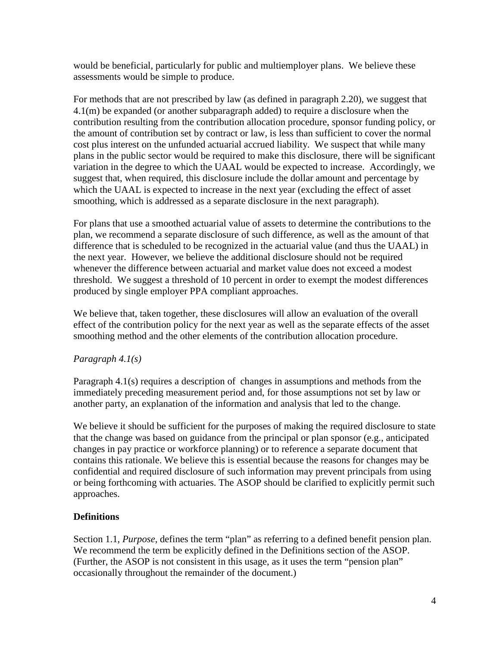would be beneficial, particularly for public and multiemployer plans. We believe these assessments would be simple to produce.

For methods that are not prescribed by law (as defined in paragraph 2.20), we suggest that 4.1(m) be expanded (or another subparagraph added) to require a disclosure when the contribution resulting from the contribution allocation procedure, sponsor funding policy, or the amount of contribution set by contract or law, is less than sufficient to cover the normal cost plus interest on the unfunded actuarial accrued liability. We suspect that while many plans in the public sector would be required to make this disclosure, there will be significant variation in the degree to which the UAAL would be expected to increase. Accordingly, we suggest that, when required, this disclosure include the dollar amount and percentage by which the UAAL is expected to increase in the next year (excluding the effect of asset smoothing, which is addressed as a separate disclosure in the next paragraph).

For plans that use a smoothed actuarial value of assets to determine the contributions to the plan, we recommend a separate disclosure of such difference, as well as the amount of that difference that is scheduled to be recognized in the actuarial value (and thus the UAAL) in the next year. However, we believe the additional disclosure should not be required whenever the difference between actuarial and market value does not exceed a modest threshold. We suggest a threshold of 10 percent in order to exempt the modest differences produced by single employer PPA compliant approaches.

We believe that, taken together, these disclosures will allow an evaluation of the overall effect of the contribution policy for the next year as well as the separate effects of the asset smoothing method and the other elements of the contribution allocation procedure.

## *Paragraph 4.1(s)*

Paragraph 4.1(s) requires a description of changes in assumptions and methods from the immediately preceding measurement period and, for those assumptions not set by law or another party, an explanation of the information and analysis that led to the change.

We believe it should be sufficient for the purposes of making the required disclosure to state that the change was based on guidance from the principal or plan sponsor (e.g., anticipated changes in pay practice or workforce planning) or to reference a separate document that contains this rationale. We believe this is essential because the reasons for changes may be confidential and required disclosure of such information may prevent principals from using or being forthcoming with actuaries. The ASOP should be clarified to explicitly permit such approaches.

## **Definitions**

Section 1.1, *Purpose*, defines the term "plan" as referring to a defined benefit pension plan. We recommend the term be explicitly defined in the Definitions section of the ASOP. (Further, the ASOP is not consistent in this usage, as it uses the term "pension plan" occasionally throughout the remainder of the document.)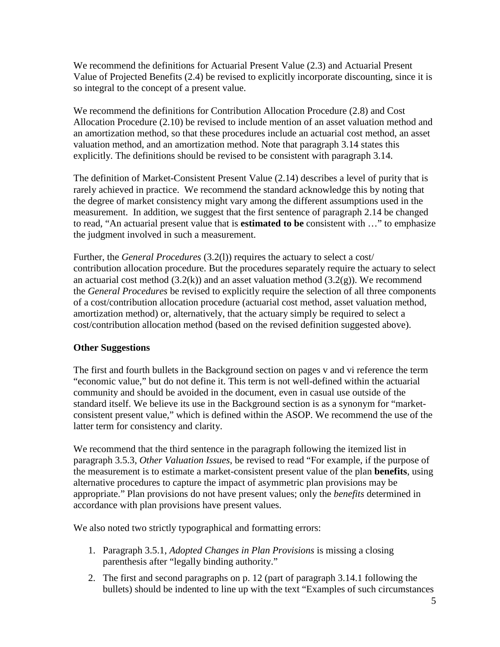We recommend the definitions for Actuarial Present Value (2.3) and Actuarial Present Value of Projected Benefits (2.4) be revised to explicitly incorporate discounting, since it is so integral to the concept of a present value.

We recommend the definitions for Contribution Allocation Procedure (2.8) and Cost Allocation Procedure (2.10) be revised to include mention of an asset valuation method and an amortization method, so that these procedures include an actuarial cost method, an asset valuation method, and an amortization method. Note that paragraph 3.14 states this explicitly. The definitions should be revised to be consistent with paragraph 3.14.

The definition of Market-Consistent Present Value (2.14) describes a level of purity that is rarely achieved in practice. We recommend the standard acknowledge this by noting that the degree of market consistency might vary among the different assumptions used in the measurement. In addition, we suggest that the first sentence of paragraph 2.14 be changed to read, "An actuarial present value that is **estimated to be** consistent with …" to emphasize the judgment involved in such a measurement.

Further, the *General Procedures* (3.2(l)) requires the actuary to select a cost/ contribution allocation procedure. But the procedures separately require the actuary to select an actuarial cost method  $(3.2(k))$  and an asset valuation method  $(3.2(g))$ . We recommend the *General Procedures* be revised to explicitly require the selection of all three components of a cost/contribution allocation procedure (actuarial cost method, asset valuation method, amortization method) or, alternatively, that the actuary simply be required to select a cost/contribution allocation method (based on the revised definition suggested above).

## **Other Suggestions**

The first and fourth bullets in the Background section on pages v and vi reference the term "economic value," but do not define it. This term is not well-defined within the actuarial community and should be avoided in the document, even in casual use outside of the standard itself. We believe its use in the Background section is as a synonym for "marketconsistent present value," which is defined within the ASOP. We recommend the use of the latter term for consistency and clarity.

We recommend that the third sentence in the paragraph following the itemized list in paragraph 3.5.3, *Other Valuation Issues*, be revised to read "For example, if the purpose of the measurement is to estimate a market-consistent present value of the plan **benefits**, using alternative procedures to capture the impact of asymmetric plan provisions may be appropriate." Plan provisions do not have present values; only the *benefits* determined in accordance with plan provisions have present values.

We also noted two strictly typographical and formatting errors:

- 1. Paragraph 3.5.1, *Adopted Changes in Plan Provisions* is missing a closing parenthesis after "legally binding authority."
- 2. The first and second paragraphs on p. 12 (part of paragraph 3.14.1 following the bullets) should be indented to line up with the text "Examples of such circumstances